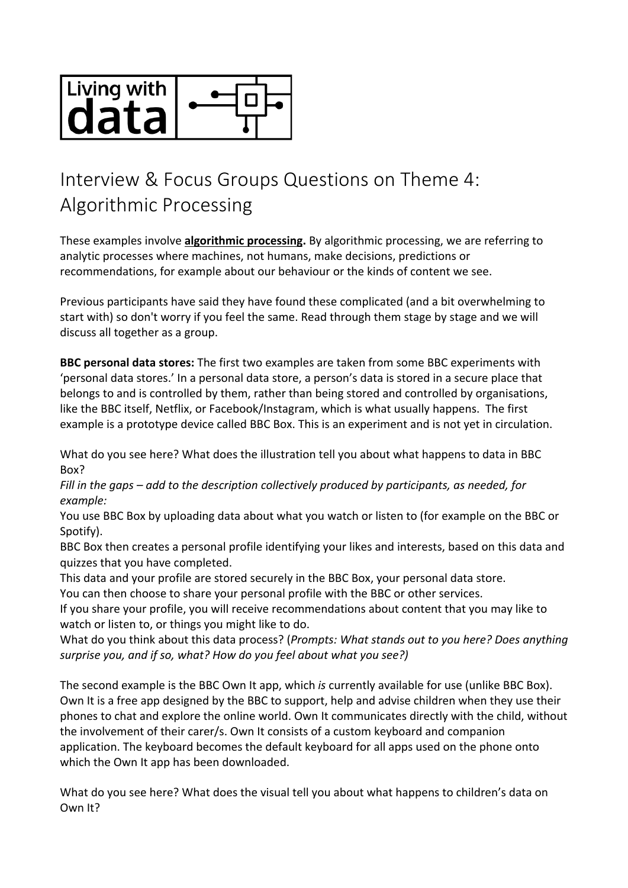

## Interview & Focus Groups Questions on Theme 4: Algorithmic Processing

These examples involve **algorithmic processing.** By algorithmic processing, we are referring to analytic processes where machines, not humans, make decisions, predictions or recommendations, for example about our behaviour or the kinds of content we see.

Previous participants have said they have found these complicated (and a bit overwhelming to start with) so don't worry if you feel the same. Read through them stage by stage and we will discuss all together as a group.

**BBC personal data stores:** The first two examples are taken from some BBC experiments with 'personal data stores.' In a personal data store, a person's data is stored in a secure place that belongs to and is controlled by them, rather than being stored and controlled by organisations, like the BBC itself, Netflix, or Facebook/Instagram, which is what usually happens. The first example is a prototype device called BBC Box. This is an experiment and is not yet in circulation.

What do you see here? What does the illustration tell you about what happens to data in BBC Box?

*Fill in the gaps – add to the description collectively produced by participants, as needed, for example:*

You use BBC Box by uploading data about what you watch or listen to (for example on the BBC or Spotify).

BBC Box then creates a personal profile identifying your likes and interests, based on this data and quizzes that you have completed.

This data and your profile are stored securely in the BBC Box, your personal data store.

You can then choose to share your personal profile with the BBC or other services.

If you share your profile, you will receive recommendations about content that you may like to watch or listen to, or things you might like to do.

What do you think about this data process? (*Prompts: What stands out to you here? Does anything surprise you, and if so, what? How do you feel about what you see?)*

The second example is the BBC Own It app, which *is* currently available for use (unlike BBC Box). Own It is a free app designed by the BBC to support, help and advise children when they use their phones to chat and explore the online world. Own It communicates directly with the child, without the involvement of their carer/s. Own It consists of a custom keyboard and companion application. The keyboard becomes the default keyboard for all apps used on the phone onto which the Own It app has been downloaded.

What do you see here? What does the visual tell you about what happens to children's data on Own It?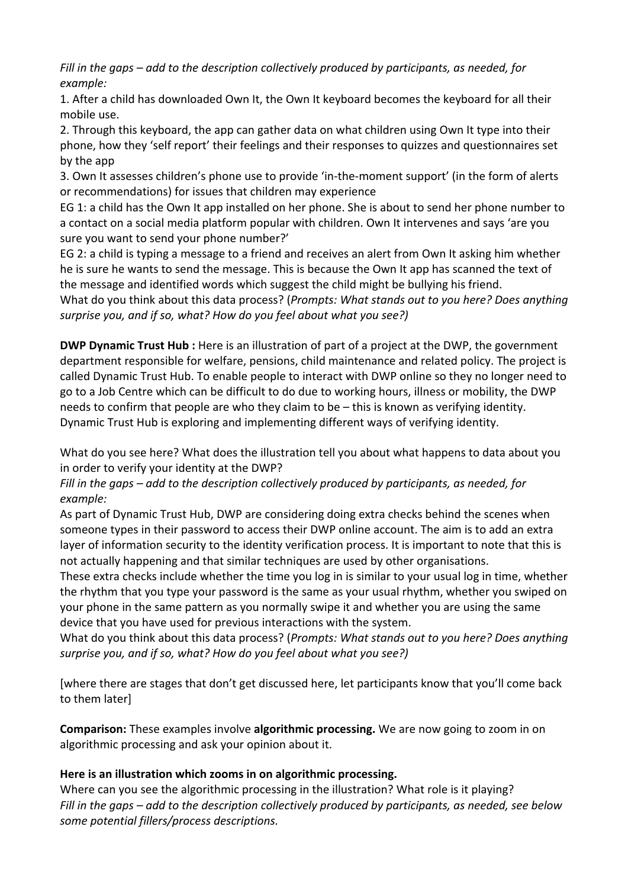*Fill in the gaps – add to the description collectively produced by participants, as needed, for example:*

1. After a child has downloaded Own It, the Own It keyboard becomes the keyboard for all their mobile use.

2. Through this keyboard, the app can gather data on what children using Own It type into their phone, how they 'self report' their feelings and their responses to quizzes and questionnaires set by the app

3. Own It assesses children's phone use to provide 'in-the-moment support' (in the form of alerts or recommendations) for issues that children may experience

EG 1: a child has the Own It app installed on her phone. She is about to send her phone number to a contact on a social media platform popular with children. Own It intervenes and says 'are you sure you want to send your phone number?'

EG 2: a child is typing a message to a friend and receives an alert from Own It asking him whether he is sure he wants to send the message. This is because the Own It app has scanned the text of the message and identified words which suggest the child might be bullying his friend. What do you think about this data process? (*Prompts: What stands out to you here? Does anything* 

*surprise you, and if so, what? How do you feel about what you see?)*

**DWP Dynamic Trust Hub :** Here is an illustration of part of a project at the DWP, the government department responsible for welfare, pensions, child maintenance and related policy. The project is called Dynamic Trust Hub. To enable people to interact with DWP online so they no longer need to go to a Job Centre which can be difficult to do due to working hours, illness or mobility, the DWP needs to confirm that people are who they claim to be – this is known as verifying identity. Dynamic Trust Hub is exploring and implementing different ways of verifying identity.

What do you see here? What does the illustration tell you about what happens to data about you in order to verify your identity at the DWP?

*Fill in the gaps – add to the description collectively produced by participants, as needed, for example:*

As part of Dynamic Trust Hub, DWP are considering doing extra checks behind the scenes when someone types in their password to access their DWP online account. The aim is to add an extra layer of information security to the identity verification process. It is important to note that this is not actually happening and that similar techniques are used by other organisations.

These extra checks include whether the time you log in is similar to your usual log in time, whether the rhythm that you type your password is the same as your usual rhythm, whether you swiped on your phone in the same pattern as you normally swipe it and whether you are using the same device that you have used for previous interactions with the system.

What do you think about this data process? (*Prompts: What stands out to you here? Does anything surprise you, and if so, what? How do you feel about what you see?)*

[where there are stages that don't get discussed here, let participants know that you'll come back to them later]

**Comparison:** These examples involve **algorithmic processing.** We are now going to zoom in on algorithmic processing and ask your opinion about it.

## **Here is an illustration which zooms in on algorithmic processing.**

Where can you see the algorithmic processing in the illustration? What role is it playing? *Fill in the gaps – add to the description collectively produced by participants, as needed, see below some potential fillers/process descriptions.*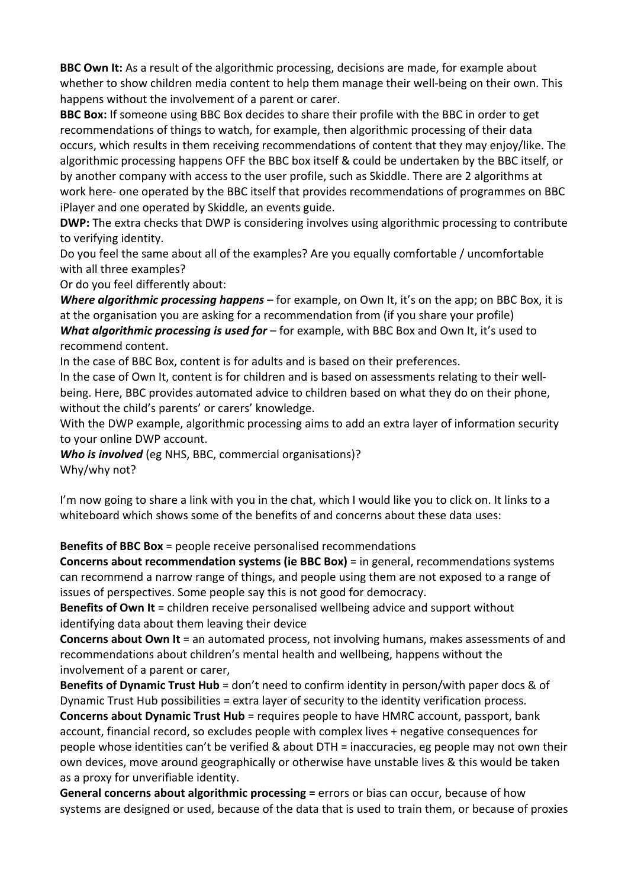**BBC Own It:** As a result of the algorithmic processing, decisions are made, for example about whether to show children media content to help them manage their well-being on their own. This happens without the involvement of a parent or carer.

**BBC Box:** If someone using BBC Box decides to share their profile with the BBC in order to get recommendations of things to watch, for example, then algorithmic processing of their data occurs, which results in them receiving recommendations of content that they may enjoy/like. The algorithmic processing happens OFF the BBC box itself & could be undertaken by the BBC itself, or by another company with access to the user profile, such as Skiddle. There are 2 algorithms at work here- one operated by the BBC itself that provides recommendations of programmes on BBC iPlayer and one operated by Skiddle, an events guide.

**DWP:** The extra checks that DWP is considering involves using algorithmic processing to contribute to verifying identity.

Do you feel the same about all of the examples? Are you equally comfortable / uncomfortable with all three examples?

Or do you feel differently about:

*Where algorithmic processing happens* – for example, on Own It, it's on the app; on BBC Box, it is at the organisation you are asking for a recommendation from (if you share your profile) *What algorithmic processing is used for* – for example, with BBC Box and Own It, it's used to recommend content.

In the case of BBC Box, content is for adults and is based on their preferences.

In the case of Own It, content is for children and is based on assessments relating to their wellbeing. Here, BBC provides automated advice to children based on what they do on their phone, without the child's parents' or carers' knowledge.

With the DWP example, algorithmic processing aims to add an extra layer of information security to your online DWP account.

*Who is involved* (eg NHS, BBC, commercial organisations)? Why/why not?

I'm now going to share a link with you in the chat, which I would like you to click on. It links to a whiteboard which shows some of the benefits of and concerns about these data uses:

**Benefits of BBC Box** = people receive personalised recommendations

**Concerns about recommendation systems (ie BBC Box)** = in general, recommendations systems can recommend a narrow range of things, and people using them are not exposed to a range of issues of perspectives. Some people say this is not good for democracy.

**Benefits of Own It** = children receive personalised wellbeing advice and support without identifying data about them leaving their device

**Concerns about Own It** = an automated process, not involving humans, makes assessments of and recommendations about children's mental health and wellbeing, happens without the involvement of a parent or carer,

**Benefits of Dynamic Trust Hub** = don't need to confirm identity in person/with paper docs & of Dynamic Trust Hub possibilities = extra layer of security to the identity verification process. **Concerns about Dynamic Trust Hub** = requires people to have HMRC account, passport, bank account, financial record, so excludes people with complex lives + negative consequences for people whose identities can't be verified & about DTH = inaccuracies, eg people may not own their own devices, move around geographically or otherwise have unstable lives & this would be taken as a proxy for unverifiable identity.

**General concerns about algorithmic processing =** errors or bias can occur, because of how systems are designed or used, because of the data that is used to train them, or because of proxies